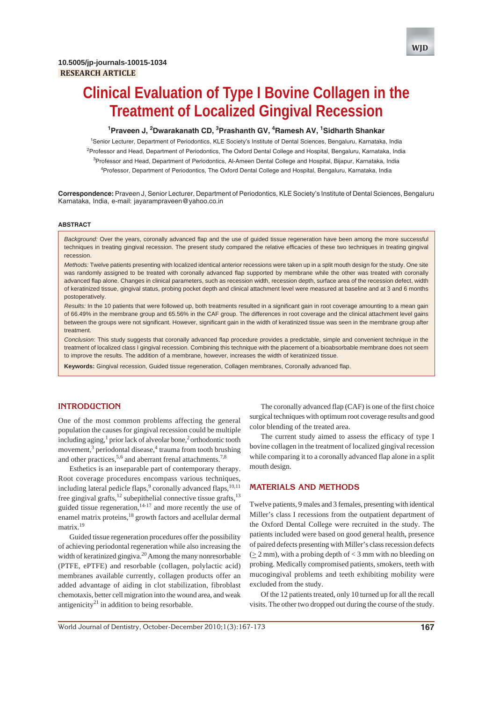

# **Clinical Evaluation of Type I Bovine Collagen in the Treatment of Localized Gingival Recession**

#### <sup>1</sup> Praveen J, <sup>2</sup> Dwarakanath CD, <sup>3</sup> Prashanth GV, <sup>4</sup> Ramesh AV, <sup>1</sup> Sidharth Shankar

<sup>1</sup>Senior Lecturer, Department of Periodontics, KLE Society's Institute of Dental Sciences, Bengaluru, Karnataka, India <sup>2</sup>Professor and Head, Department of Periodontics, The Oxford Dental College and Hospital, Bengaluru, Karnataka, India <sup>3</sup>Professor and Head, Department of Periodontics, Al-Ameen Dental College and Hospital, Bijapur, Karnataka, India 4 Professor, Department of Periodontics, The Oxford Dental College and Hospital, Bengaluru, Karnataka, India

**Correspondence:** Praveen J, Senior Lecturer, Department of Periodontics, KLE Society's Institute of Dental Sciences, Bengaluru Karnataka, India, e-mail: jayarampraveen@yahoo.co.in

#### **ABSTRACT**

*Background:* Over the years, coronally advanced flap and the use of guided tissue regeneration have been among the more successful techniques in treating gingival recession. The present study compared the relative efficacies of these two techniques in treating gingival recession.

*Methods:* Twelve patients presenting with localized identical anterior recessions were taken up in a split mouth design for the study. One site was randomly assigned to be treated with coronally advanced flap supported by membrane while the other was treated with coronally advanced flap alone. Changes in clinical parameters, such as recession width, recession depth, surface area of the recession defect, width of keratinized tissue, gingival status, probing pocket depth and clinical attachment level were measured at baseline and at 3 and 6 months postoperatively.

*Results:* In the 10 patients that were followed up, both treatments resulted in a significant gain in root coverage amounting to a mean gain of 66.49% in the membrane group and 65.56% in the CAF group. The differences in root coverage and the clinical attachment level gains between the groups were not significant. However, significant gain in the width of keratinized tissue was seen in the membrane group after treatment.

*Conclusion*: This study suggests that coronally advanced flap procedure provides a predictable, simple and convenient technique in the treatment of localized class I gingival recession. Combining this technique with the placement of a bioabsorbable membrane does not seem to improve the results. The addition of a membrane, however, increases the width of keratinized tissue.

**Keywords:** Gingival recession, Guided tissue regeneration, Collagen membranes, Coronally advanced flap.

### **INTRODUCTION**

One of the most common problems affecting the general population the causes for gingival recession could be multiple including aging,<sup>1</sup> prior lack of alveolar bone,<sup>2</sup> orthodontic tooth movement,<sup>3</sup> periodontal disease,<sup>4</sup> trauma from tooth brushing and other practices,  $5.6$  and aberrant frenal attachments.<sup>7,8</sup>

Esthetics is an inseparable part of contemporary therapy. Root coverage procedures encompass various techniques, including lateral pedicle flaps,<sup>9</sup> coronally advanced flaps,<sup>10,11</sup> free gingival grafts, $^{12}$  subepithelial connective tissue grafts, $^{13}$ guided tissue regeneration, $14-17$  and more recently the use of enamel matrix proteins,18 growth factors and acellular dermal matrix.<sup>19</sup>

Guided tissue regeneration procedures offer the possibility of achieving periodontal regeneration while also increasing the width of keratinized gingiva.<sup>20</sup> Among the many nonresorbable (PTFE, ePTFE) and resorbable (collagen, polylactic acid) membranes available currently, collagen products offer an added advantage of aiding in clot stabilization, fibroblast chemotaxis, better cell migration into the wound area, and weak antigenicity<sup>21</sup> in addition to being resorbable.

The coronally advanced flap (CAF) is one of the first choice surgical techniques with optimum root coverage results and good color blending of the treated area.

The current study aimed to assess the efficacy of type I bovine collagen in the treatment of localized gingival recession while comparing it to a coronally advanced flap alone in a split mouth design.

#### **MATERIALS AND METHODS**

Twelve patients, 9 males and 3 females, presenting with identical Miller's class I recessions from the outpatient department of the Oxford Dental College were recruited in the study. The patients included were based on good general health, presence of paired defects presenting with Miller's class recession defects  $(> 2$  mm), with a probing depth of  $< 3$  mm with no bleeding on probing. Medically compromised patients, smokers, teeth with mucogingival problems and teeth exhibiting mobility were excluded from the study.

Of the 12 patients treated, only 10 turned up for all the recall visits. The other two dropped out during the course of the study.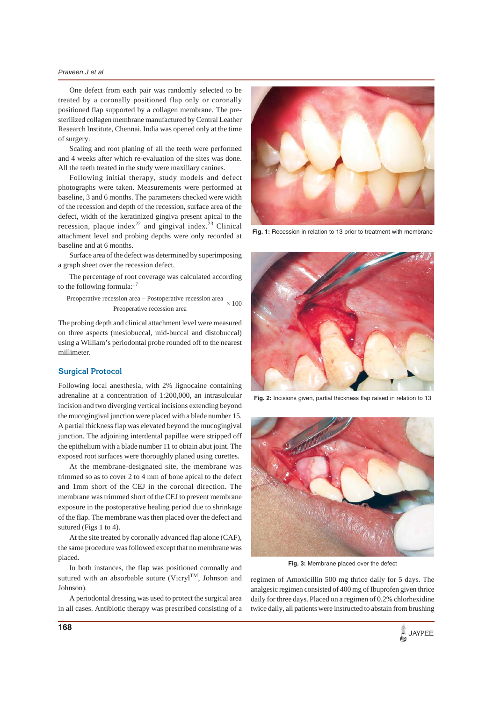#### *Praveen J et al*

One defect from each pair was randomly selected to be treated by a coronally positioned flap only or coronally positioned flap supported by a collagen membrane. The presterilized collagen membrane manufactured by Central Leather Research Institute, Chennai, India was opened only at the time of surgery.

Scaling and root planing of all the teeth were performed and 4 weeks after which re-evaluation of the sites was done. All the teeth treated in the study were maxillary canines.

Following initial therapy, study models and defect photographs were taken. Measurements were performed at baseline, 3 and 6 months. The parameters checked were width of the recession and depth of the recession, surface area of the defect, width of the keratinized gingiva present apical to the recession, plaque index<sup>22</sup> and gingival index.<sup>23</sup> Clinical attachment level and probing depths were only recorded at baseline and at 6 months.

Surface area of the defect was determined by superimposing a graph sheet over the recession defect.

The percentage of root coverage was calculated according to the following formula:17

 Preoperative recession area – Postoperative recession area  $\frac{100 \text{ p} \cdot \text{m}}{\text{Preoperative recession area}} \times 100$ 

The probing depth and clinical attachment level were measured on three aspects (mesiobuccal, mid-buccal and distobuccal) using a William's periodontal probe rounded off to the nearest millimeter.

#### **Surgical Protocol**

Following local anesthesia, with 2% lignocaine containing adrenaline at a concentration of 1:200,000, an intrasulcular incision and two diverging vertical incisions extending beyond the mucogingival junction were placed with a blade number 15. A partial thickness flap was elevated beyond the mucogingival junction. The adjoining interdental papillae were stripped off the epithelium with a blade number 11 to obtain abut joint. The exposed root surfaces were thoroughly planed using curettes.

At the membrane-designated site, the membrane was trimmed so as to cover 2 to 4 mm of bone apical to the defect and 1mm short of the CEJ in the coronal direction. The membrane was trimmed short of the CEJ to prevent membrane exposure in the postoperative healing period due to shrinkage of the flap. The membrane was then placed over the defect and sutured (Figs 1 to 4).

At the site treated by coronally advanced flap alone (CAF), the same procedure was followed except that no membrane was placed.

In both instances, the flap was positioned coronally and sutured with an absorbable suture (Vicryl<sup>TM</sup>, Johnson and Johnson).

A periodontal dressing was used to protect the surgical area in all cases. Antibiotic therapy was prescribed consisting of a



**Fig. 1:** Recession in relation to 13 prior to treatment with membrane



**Fig. 2:** Incisions given, partial thickness flap raised in relation to 13



**Fig. 3:** Membrane placed over the defect

regimen of Amoxicillin 500 mg thrice daily for 5 days. The analgesic regimen consisted of 400 mg of Ibuprofen given thrice daily for three days. Placed on a regimen of 0.2% chlorhexidine twice daily, all patients were instructed to abstain from brushing

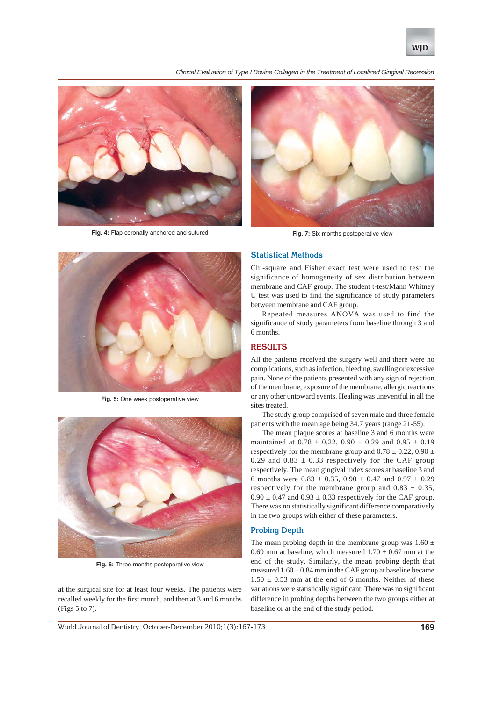

*Clinical Evaluation of Type I Bovine Collagen in the Treatment of Localized Gingival Recession*



**Fig. 4:** Flap coronally anchored and sutured



**Fig. 7:** Six months postoperative view



**Fig. 5:** One week postoperative view



**Fig. 6:** Three months postoperative view

at the surgical site for at least four weeks. The patients were recalled weekly for the first month, and then at 3 and 6 months (Figs 5 to 7).

#### **Statistical Methods**

Chi-square and Fisher exact test were used to test the significance of homogeneity of sex distribution between membrane and CAF group. The student t-test/Mann Whitney U test was used to find the significance of study parameters between membrane and CAF group.

Repeated measures ANOVA was used to find the significance of study parameters from baseline through 3 and 6 months.

# **RESULTS**

All the patients received the surgery well and there were no complications, such as infection, bleeding, swelling or excessive pain. None of the patients presented with any sign of rejection of the membrane, exposure of the membrane, allergic reactions or any other untoward events. Healing was uneventful in all the sites treated.

The study group comprised of seven male and three female patients with the mean age being 34.7 years (range 21-55).

The mean plaque scores at baseline 3 and 6 months were maintained at  $0.78 \pm 0.22$ ,  $0.90 \pm 0.29$  and  $0.95 \pm 0.19$ respectively for the membrane group and  $0.78 \pm 0.22$ ,  $0.90 \pm 0.22$ 0.29 and  $0.83 \pm 0.33$  respectively for the CAF group respectively. The mean gingival index scores at baseline 3 and 6 months were  $0.83 \pm 0.35$ ,  $0.90 \pm 0.47$  and  $0.97 \pm 0.29$ respectively for the membrane group and  $0.83 \pm 0.35$ ,  $0.90 \pm 0.47$  and  $0.93 \pm 0.33$  respectively for the CAF group. There was no statistically significant difference comparatively in the two groups with either of these parameters.

#### **Probing Depth**

The mean probing depth in the membrane group was  $1.60 \pm$ 0.69 mm at baseline, which measured  $1.70 \pm 0.67$  mm at the end of the study. Similarly, the mean probing depth that measured  $1.60 \pm 0.84$  mm in the CAF group at baseline became  $1.50 \pm 0.53$  mm at the end of 6 months. Neither of these variations were statistically significant. There was no significant difference in probing depths between the two groups either at baseline or at the end of the study period.

World Journal of Dentistry, October-December 2010;1(3):167-173 **169**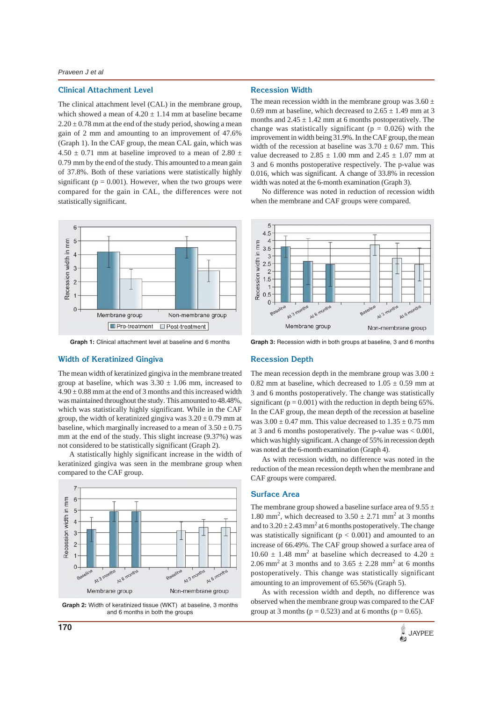#### **Clinical Attachment Level**

The clinical attachment level (CAL) in the membrane group, which showed a mean of  $4.20 \pm 1.14$  mm at baseline became  $2.20 \pm 0.78$  mm at the end of the study period, showing a mean gain of 2 mm and amounting to an improvement of 47.6% (Graph 1). In the CAF group, the mean CAL gain, which was 4.50  $\pm$  0.71 mm at baseline improved to a mean of 2.80  $\pm$ 0.79 mm by the end of the study. This amounted to a mean gain of 37.8%. Both of these variations were statistically highly significant ( $p = 0.001$ ). However, when the two groups were compared for the gain in CAL, the differences were not statistically significant.



**Graph 1:** Clinical attachment level at baseline and 6 months

#### **Width of Keratinized Gingiva**

The mean width of keratinized gingiva in the membrane treated group at baseline, which was  $3.30 \pm 1.06$  mm, increased to  $4.90 \pm 0.88$  mm at the end of 3 months and this increased width was maintained throughout the study. This amounted to 48.48%, which was statistically highly significant. While in the CAF group, the width of keratinized gingiva was  $3.20 \pm 0.79$  mm at baseline, which marginally increased to a mean of  $3.50 \pm 0.75$ mm at the end of the study. This slight increase (9.37%) was not considered to be statistically significant (Graph 2).

A statistically highly significant increase in the width of keratinized gingiva was seen in the membrane group when compared to the CAF group.



**Graph 2:** Width of keratinized tissue (WKT) at baseline, 3 months and 6 months in both the groups

#### **Recession Width**

The mean recession width in the membrane group was  $3.60 \pm$ 0.69 mm at baseline, which decreased to  $2.65 \pm 1.49$  mm at 3 months and  $2.45 \pm 1.42$  mm at 6 months postoperatively. The change was statistically significant ( $p = 0.026$ ) with the improvement in width being 31.9%. In the CAF group, the mean width of the recession at baseline was  $3.70 \pm 0.67$  mm. This value decreased to  $2.85 \pm 1.00$  mm and  $2.45 \pm 1.07$  mm at 3 and 6 months postoperative respectively. The p-value was 0.016, which was significant. A change of 33.8% in recession width was noted at the 6-month examination (Graph 3).

No difference was noted in reduction of recession width when the membrane and CAF groups were compared.



**Graph 3:** Recession width in both groups at baseline, 3 and 6 months

#### **Recession Depth**

The mean recession depth in the membrane group was  $3.00 \pm$ 0.82 mm at baseline, which decreased to  $1.05 \pm 0.59$  mm at 3 and 6 months postoperatively. The change was statistically significant ( $p = 0.001$ ) with the reduction in depth being 65%. In the CAF group, the mean depth of the recession at baseline was  $3.00 \pm 0.47$  mm. This value decreased to  $1.35 \pm 0.75$  mm at 3 and 6 months postoperatively. The p-value was < 0.001, which was highly significant. A change of 55% in recession depth was noted at the 6-month examination (Graph 4).

As with recession width, no difference was noted in the reduction of the mean recession depth when the membrane and CAF groups were compared.

## **Surface Area**

The membrane group showed a baseline surface area of  $9.55 \pm$ 1.80 mm<sup>2</sup>, which decreased to  $3.50 \pm 2.71$  mm<sup>2</sup> at 3 months and to  $3.20 \pm 2.43$  mm<sup>2</sup> at 6 months postoperatively. The change was statistically significant ( $p < 0.001$ ) and amounted to an increase of 66.49%. The CAF group showed a surface area of 10.60  $\pm$  1.48 mm<sup>2</sup> at baseline which decreased to 4.20  $\pm$ 2.06 mm<sup>2</sup> at 3 months and to  $3.65 \pm 2.28$  mm<sup>2</sup> at 6 months postoperatively. This change was statistically significant amounting to an improvement of 65.56% (Graph 5).

As with recession width and depth, no difference was observed when the membrane group was compared to the CAF group at 3 months ( $p = 0.523$ ) and at 6 months ( $p = 0.65$ ).

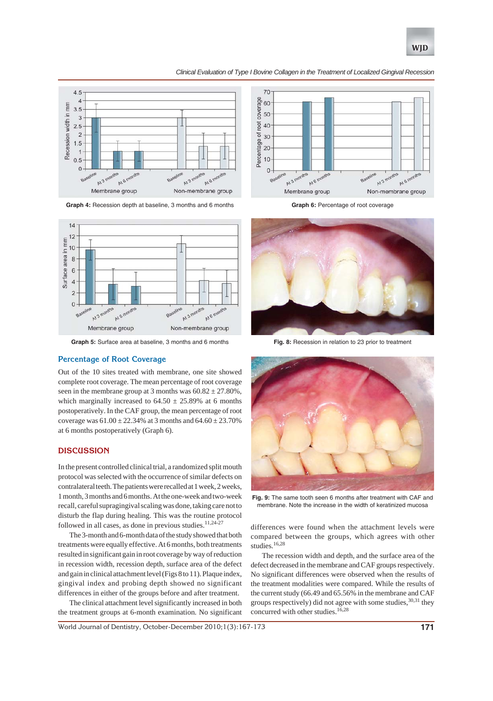

#### *Clinical Evaluation of Type I Bovine Collagen in the Treatment of Localized Gingival Recession*



**Graph 4:** Recession depth at baseline, 3 months and 6 months



**Graph 5:** Surface area at baseline, 3 months and 6 months

## **Percentage of Root Coverage**

Out of the 10 sites treated with membrane, one site showed complete root coverage. The mean percentage of root coverage seen in the membrane group at 3 months was  $60.82 \pm 27.80\%$ , which marginally increased to  $64.50 \pm 25.89\%$  at 6 months postoperatively. In the CAF group, the mean percentage of root coverage was  $61.00 \pm 22.34\%$  at 3 months and  $64.60 \pm 23.70\%$ at 6 months postoperatively (Graph 6).

#### **DISCUSSION**

In the present controlled clinical trial, a randomized split mouth protocol was selected with the occurrence of similar defects on contralateral teeth. The patients were recalled at 1 week, 2 weeks, 1 month, 3 months and 6 months. At the one-week and two-week recall, careful supragingival scaling was done, taking care not to disturb the flap during healing. This was the routine protocol followed in all cases, as done in previous studies.<sup>11,24-2</sup>

The 3-month and 6-month data of the study showed that both treatments were equally effective. At 6 months, both treatments resulted in significant gain in root coverage by way of reduction in recession width, recession depth, surface area of the defect and gain in clinical attachment level (Figs 8 to 11). Plaque index, gingival index and probing depth showed no significant differences in either of the groups before and after treatment.

The clinical attachment level significantly increased in both the treatment groups at 6-month examination. No significant



Graph 6: Percentage of root coverage



**Fig. 8:** Recession in relation to 23 prior to treatment



**Fig. 9:** The same tooth seen 6 months after treatment with CAF and membrane. Note the increase in the width of keratinized mucosa

differences were found when the attachment levels were compared between the groups, which agrees with other studies.  $^{16,28}$ 

The recession width and depth, and the surface area of the defect decreased in the membrane and CAF groups respectively. No significant differences were observed when the results of the treatment modalities were compared. While the results of the current study (66.49 and 65.56% in the membrane and CAF groups respectively) did not agree with some studies,  $30,31$  they concurred with other studies.<sup>16,28</sup>

World Journal of Dentistry, October-December 2010;1(3):167-173 **171**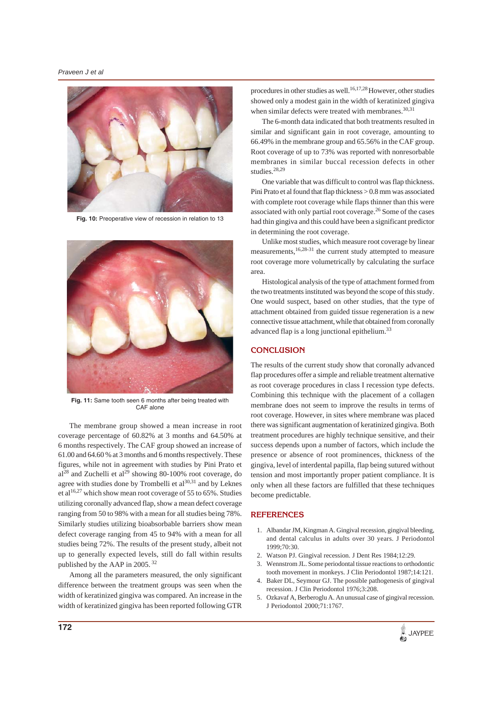

**Fig. 10:** Preoperative view of recession in relation to 13



**Fig. 11:** Same tooth seen 6 months after being treated with CAF alone

The membrane group showed a mean increase in root coverage percentage of 60.82% at 3 months and 64.50% at 6 months respectively. The CAF group showed an increase of 61.00 and 64.60 % at 3 months and 6 months respectively. These figures, while not in agreement with studies by Pini Prato et  $a^{28}$  and Zuchelli et  $a^{29}$  showing 80-100% root coverage, do agree with studies done by Trombelli et  $al^{30,31}$  and by Leknes et al<sup>16,27</sup> which show mean root coverage of 55 to 65%. Studies utilizing coronally advanced flap, show a mean defect coverage ranging from 50 to 98% with a mean for all studies being 78%. Similarly studies utilizing bioabsorbable barriers show mean defect coverage ranging from 45 to 94% with a mean for all studies being 72%. The results of the present study, albeit not up to generally expected levels, still do fall within results published by the AAP in 2005. 32

Among all the parameters measured, the only significant difference between the treatment groups was seen when the width of keratinized gingiva was compared. An increase in the width of keratinized gingiva has been reported following GTR

procedures in other studies as well.<sup>16,17,28</sup> However, other studies showed only a modest gain in the width of keratinized gingiva when similar defects were treated with membranes.<sup>30,31</sup>

The 6-month data indicated that both treatments resulted in similar and significant gain in root coverage, amounting to 66.49% in the membrane group and 65.56% in the CAF group. Root coverage of up to 73% was reported with nonresorbable membranes in similar buccal recession defects in other studies.<sup>28,29</sup>

One variable that was difficult to control was flap thickness. Pini Prato et al found that flap thickness > 0.8 mm was associated with complete root coverage while flaps thinner than this were associated with only partial root coverage.26 Some of the cases had thin gingiva and this could have been a significant predictor in determining the root coverage.

Unlike most studies, which measure root coverage by linear measurements,16,28-31 the current study attempted to measure root coverage more volumetrically by calculating the surface area.

Histological analysis of the type of attachment formed from the two treatments instituted was beyond the scope of this study. One would suspect, based on other studies, that the type of attachment obtained from guided tissue regeneration is a new connective tissue attachment,while that obtained from coronally advanced flap is a long junctional epithelium.<sup>33</sup>

#### **CONCLUSION**

The results of the current study show that coronally advanced flap procedures offer a simple and reliable treatment alternative as root coverage procedures in class I recession type defects. Combining this technique with the placement of a collagen membrane does not seem to improve the results in terms of root coverage. However, in sites where membrane was placed there was significant augmentation of keratinized gingiva. Both treatment procedures are highly technique sensitive, and their success depends upon a number of factors, which include the presence or absence of root prominences, thickness of the gingiva, level of interdental papilla, flap being sutured without tension and most importantly proper patient compliance. It is only when all these factors are fulfilled that these techniques become predictable.

#### **REFERENCES**

- 1. Albandar JM, Kingman A. Gingival recession, gingival bleeding, and dental calculus in adults over 30 years. J Periodontol 1999;70:30.
- 2. Watson PJ. Gingival recession. J Dent Res 1984;12:29.
- 3. Wennstrom JL. Some periodontal tissue reactions to orthodontic tooth movement in monkeys. J Clin Periodontol 1987;14:121.
- 4. Baker DL, Seymour GJ. The possible pathogenesis of gingival recession. J Clin Periodontol 1976;3:208.
- 5. Ozkavaf A, Berberoglu A. An unusual case of gingival recession. J Periodontol 2000;71:1767.